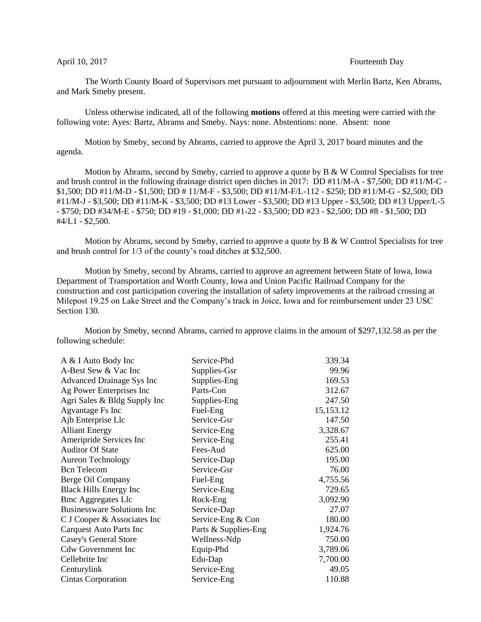## April 10, 2017 **Fourteenth** Day

The Worth County Board of Supervisors met pursuant to adjournment with Merlin Bartz, Ken Abrams, and Mark Smeby present.

Unless otherwise indicated, all of the following **motions** offered at this meeting were carried with the following vote: Ayes: Bartz, Abrams and Smeby. Nays: none. Abstentions: none. Absent: none

Motion by Smeby, second by Abrams, carried to approve the April 3, 2017 board minutes and the agenda.

Motion by Abrams, second by Smeby, carried to approve a quote by  $B \& W$  Control Specialists for tree and brush control in the following drainage district open ditches in 2017: DD #11/M-A - \$7,500; DD #11/M-C - \$1,500; DD #11/M-D - \$1,500; DD # 11/M-F - \$3,500; DD #11/M-F/L-112 - \$250; DD #11/M-G - \$2,500; DD #11/M-J - \$3,500; DD #11/M-K - \$3,500; DD #13 Lower - \$3,500; DD #13 Upper - \$3,500; DD #13 Upper/L-5 - \$750; DD #34/M-E - \$750; DD #19 - \$1,000; DD #1-22 - \$3,500; DD #23 - \$2,500; DD #8 - \$1,500; DD #4/L1 - \$2,500.

Motion by Abrams, second by Smeby, carried to approve a quote by B & W Control Specialists for tree and brush control for 1/3 of the county's road ditches at \$32,500.

Motion by Smeby, second by Abrams, carried to approve an agreement between State of Iowa, Iowa Department of Transportation and Worth County, Iowa and Union Pacific Railroad Company for the construction and cost participation covering the installation of safety improvements at the railroad crossing at Milepost 19.25 on Lake Street and the Company's track in Joice, Iowa and for reimbursement under 23 USC Section 130.

Motion by Smeby, second Abrams, carried to approve claims in the amount of \$297,132.58 as per the following schedule:

| A & I Auto Body Inc               | Service-Phd          | 339.34    |
|-----------------------------------|----------------------|-----------|
| A-Best Sew & Vac Inc              | Supplies-Gsr         | 99.96     |
| <b>Advanced Drainage Sys Inc</b>  | Supplies-Eng         | 169.53    |
| Ag Power Enterprises Inc          | Parts-Con            | 312.67    |
| Agri Sales & Bldg Supply Inc      | Supplies-Eng         | 247.50    |
| <b>Agvantage Fs Inc</b>           | Fuel-Eng             | 15,153.12 |
| Ajb Enterprise Llc                | Service-Gsr          | 147.50    |
| <b>Alliant Energy</b>             | Service-Eng          | 3,328.67  |
| Ameripride Services Inc           | Service-Eng          | 255.41    |
| <b>Auditor Of State</b>           | Fees-Aud             | 625.00    |
| <b>Aureon Technology</b>          | Service-Dap          | 195.00    |
| <b>Bcn</b> Telecom                | Service-Gsr          | 76.00     |
| Berge Oil Company                 | Fuel-Eng             | 4,755.56  |
| <b>Black Hills Energy Inc</b>     | Service-Eng          | 729.65    |
| <b>Bmc Aggregates Llc</b>         | Rock-Eng             | 3,092.90  |
| <b>Businessware Solutions Inc</b> | Service-Dap          | 27.07     |
| C J Cooper & Associates Inc       | Service-Eng & Con    | 180.00    |
| Carquest Auto Parts Inc           | Parts & Supplies-Eng | 1,924.76  |
| <b>Casey's General Store</b>      | Wellness-Ndp         | 750.00    |
| <b>Cdw Government Inc</b>         | Equip-Phd            | 3,789.06  |
| Cellebrite Inc                    | Edu-Dap              | 7,700.00  |
| Centurylink                       | Service-Eng          | 49.05     |
| <b>Cintas Corporation</b>         | Service-Eng          | 110.88    |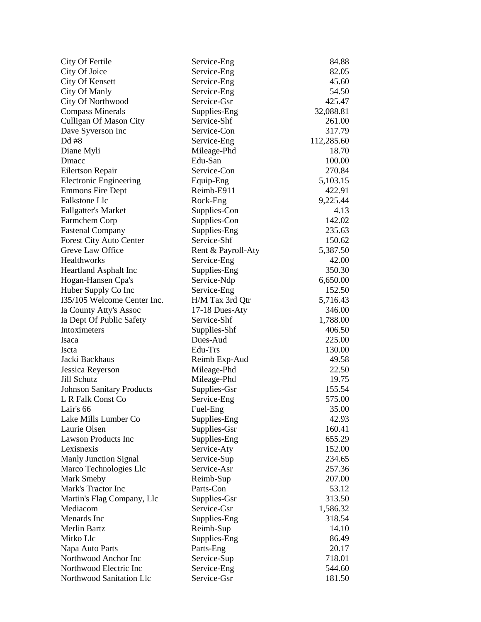| City Of Fertile                  | Service-Eng        | 84.88      |
|----------------------------------|--------------------|------------|
| City Of Joice                    | Service-Eng        | 82.05      |
| City Of Kensett                  | Service-Eng        | 45.60      |
| City Of Manly                    | Service-Eng        | 54.50      |
| City Of Northwood                | Service-Gsr        | 425.47     |
| <b>Compass Minerals</b>          | Supplies-Eng       | 32,088.81  |
| <b>Culligan Of Mason City</b>    | Service-Shf        | 261.00     |
| Dave Syverson Inc                | Service-Con        | 317.79     |
| Dd #8                            | Service-Eng        | 112,285.60 |
| Diane Myli                       | Mileage-Phd        | 18.70      |
| Dmacc                            | Edu-San            | 100.00     |
| Eilertson Repair                 | Service-Con        | 270.84     |
| <b>Electronic Engineering</b>    | Equip-Eng          | 5,103.15   |
| <b>Emmons Fire Dept</b>          | Reimb-E911         | 422.91     |
| <b>Falkstone Llc</b>             | Rock-Eng           | 9,225.44   |
| <b>Fallgatter's Market</b>       | Supplies-Con       | 4.13       |
| Farmchem Corp                    | Supplies-Con       | 142.02     |
| <b>Fastenal Company</b>          | Supplies-Eng       | 235.63     |
| Forest City Auto Center          | Service-Shf        | 150.62     |
| Greve Law Office                 | Rent & Payroll-Aty | 5,387.50   |
| Healthworks                      | Service-Eng        | 42.00      |
| <b>Heartland Asphalt Inc</b>     | Supplies-Eng       | 350.30     |
| Hogan-Hansen Cpa's               | Service-Ndp        | 6,650.00   |
| Huber Supply Co Inc              | Service-Eng        | 152.50     |
| I35/105 Welcome Center Inc.      | H/M Tax 3rd Qtr    | 5,716.43   |
| Ia County Atty's Assoc           | 17-18 Dues-Aty     | 346.00     |
| Ia Dept Of Public Safety         | Service-Shf        | 1,788.00   |
| Intoximeters                     | Supplies-Shf       | 406.50     |
| Isaca                            | Dues-Aud           | 225.00     |
| Iscta                            | Edu-Trs            | 130.00     |
| Jacki Backhaus                   | Reimb Exp-Aud      | 49.58      |
| Jessica Reyerson                 | Mileage-Phd        | 22.50      |
| Jill Schutz                      | Mileage-Phd        | 19.75      |
| <b>Johnson Sanitary Products</b> | Supplies-Gsr       | 155.54     |
| L R Falk Const Co                | Service-Eng        | 575.00     |
| Lair's 66                        | Fuel-Eng           | 35.00      |
| Lake Mills Lumber Co             |                    | 42.93      |
| Laurie Olsen                     | Supplies-Eng       |            |
| <b>Lawson Products Inc</b>       | Supplies-Gsr       | 160.41     |
|                                  | Supplies-Eng       | 655.29     |
| Lexisnexis                       | Service-Aty        | 152.00     |
| <b>Manly Junction Signal</b>     | Service-Sup        | 234.65     |
| Marco Technologies Llc           | Service-Asr        | 257.36     |
| Mark Smeby                       | Reimb-Sup          | 207.00     |
| Mark's Tractor Inc               | Parts-Con          | 53.12      |
| Martin's Flag Company, Llc       | Supplies-Gsr       | 313.50     |
| Mediacom                         | Service-Gsr        | 1,586.32   |
| Menards Inc                      | Supplies-Eng       | 318.54     |
| <b>Merlin Bartz</b>              | Reimb-Sup          | 14.10      |
| Mitko Llc                        | Supplies-Eng       | 86.49      |
| Napa Auto Parts                  | Parts-Eng          | 20.17      |
| Northwood Anchor Inc             | Service-Sup        | 718.01     |
| Northwood Electric Inc           | Service-Eng        | 544.60     |
| Northwood Sanitation Llc         | Service-Gsr        | 181.50     |